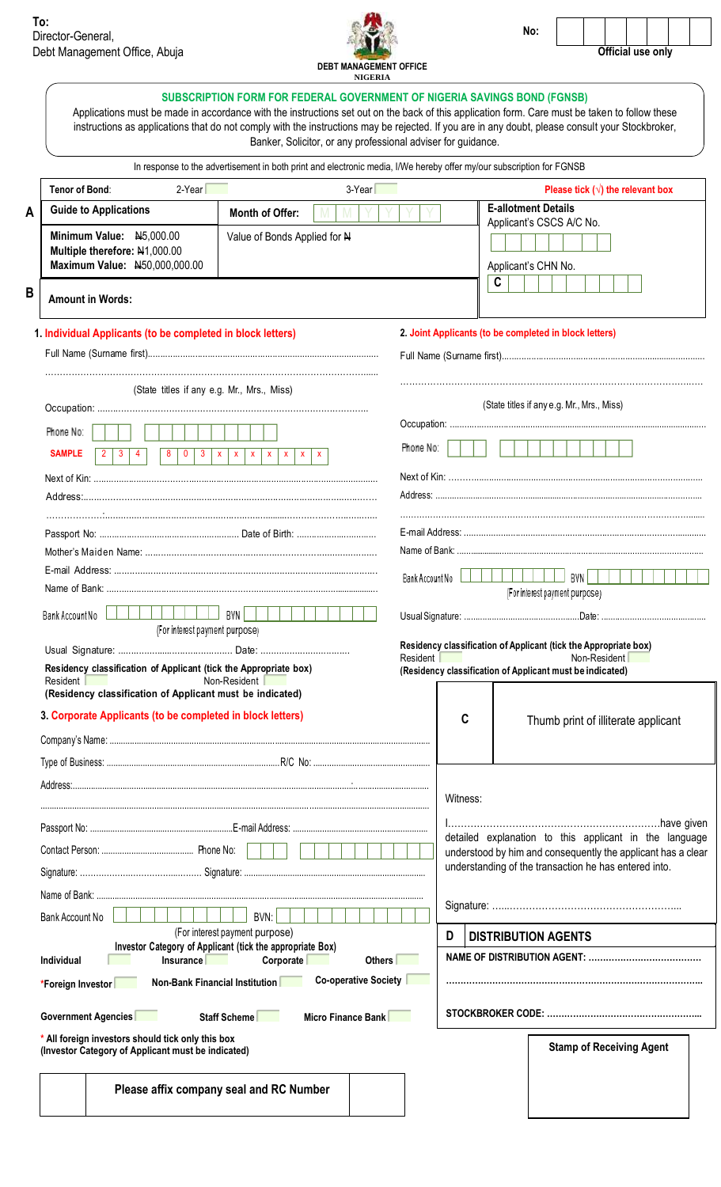**A**

**B**



**No:**



| <b>DEBT MANAGEMENT OFFICE</b><br><b>NIGERIA</b><br><b>SUBSCRIPTION FORM FOR FEDERAL GOVERNMENT OF NIGERIA SAVINGS BOND (FGNSB)</b><br>Applications must be made in accordance with the instructions set out on the back of this application form. Care must be taken to follow these<br>instructions as applications that do not comply with the instructions may be rejected. If you are in any doubt, please consult your Stockbroker,<br>Banker, Solicitor, or any professional adviser for guidance.<br>In response to the advertisement in both print and electronic media, I/We hereby offer my/our subscription for FGNSB |                                                                                                                                                           |                                                 |                                          |
|----------------------------------------------------------------------------------------------------------------------------------------------------------------------------------------------------------------------------------------------------------------------------------------------------------------------------------------------------------------------------------------------------------------------------------------------------------------------------------------------------------------------------------------------------------------------------------------------------------------------------------|-----------------------------------------------------------------------------------------------------------------------------------------------------------|-------------------------------------------------|------------------------------------------|
|                                                                                                                                                                                                                                                                                                                                                                                                                                                                                                                                                                                                                                  |                                                                                                                                                           | $3-Year$<br>Tenor of Bond:<br>$2-Year$          | Please tick $(\sqrt{})$ the relevant box |
|                                                                                                                                                                                                                                                                                                                                                                                                                                                                                                                                                                                                                                  |                                                                                                                                                           | <b>Guide to Applications</b><br>Month of Offer: | <b>E-allotment Details</b>               |
| Minimum Value: N5,000.00<br>Value of Bonds Applied for N<br>Multiple therefore: N1,000.00<br>Maximum Value: N50,000,000.00                                                                                                                                                                                                                                                                                                                                                                                                                                                                                                       | Applicant's CSCS A/C No.<br>Applicant's CHN No.<br>C                                                                                                      |                                                 |                                          |
| <b>Amount in Words:</b>                                                                                                                                                                                                                                                                                                                                                                                                                                                                                                                                                                                                          |                                                                                                                                                           |                                                 |                                          |
| 1. Individual Applicants (to be completed in block letters)                                                                                                                                                                                                                                                                                                                                                                                                                                                                                                                                                                      | 2. Joint Applicants (to be completed in block letters)                                                                                                    |                                                 |                                          |
|                                                                                                                                                                                                                                                                                                                                                                                                                                                                                                                                                                                                                                  |                                                                                                                                                           |                                                 |                                          |
| (State titles if any e.g. Mr., Mrs., Miss)                                                                                                                                                                                                                                                                                                                                                                                                                                                                                                                                                                                       | (State titles if any e.g. Mr., Mrs., Miss)                                                                                                                |                                                 |                                          |
| Phone No:<br><b>SAMPLE</b><br>$\mathbf{3}$<br>$\mathbf 0$<br>$\mathbf{3}$<br>$\mathbf{x}$<br>$\mathbf{2}$<br>$\overline{4}$<br>8<br>$\mathbf{x}$<br>$x \mid x$<br>$\mathbf{x}$<br>$\mathbf{X}$<br>$\mathbf{X}$                                                                                                                                                                                                                                                                                                                                                                                                                   | Phone No:                                                                                                                                                 |                                                 |                                          |
| Name of Rank:                                                                                                                                                                                                                                                                                                                                                                                                                                                                                                                                                                                                                    | BVN  <br>Bank Account No<br>(For interest payment purpose)                                                                                                |                                                 |                                          |
| Bank Account No<br>BVN I<br>(For interest payment purpose)                                                                                                                                                                                                                                                                                                                                                                                                                                                                                                                                                                       |                                                                                                                                                           |                                                 |                                          |
| Residency classification of Applicant (tick the Appropriate box)<br>Resident  <br>Non-Resident<br>(Residency classification of Applicant must be indicated)                                                                                                                                                                                                                                                                                                                                                                                                                                                                      | Residency classification of Applicant (tick the Appropriate box)<br>Resident<br>Non-Resident<br>(Residency classification of Applicant must be indicated) |                                                 |                                          |
| 3. Corporate Applicants (to be completed in block letters)                                                                                                                                                                                                                                                                                                                                                                                                                                                                                                                                                                       | C<br>Thumb print of illiterate applicant                                                                                                                  |                                                 |                                          |
|                                                                                                                                                                                                                                                                                                                                                                                                                                                                                                                                                                                                                                  |                                                                                                                                                           |                                                 |                                          |
|                                                                                                                                                                                                                                                                                                                                                                                                                                                                                                                                                                                                                                  | Witness:                                                                                                                                                  |                                                 |                                          |
|                                                                                                                                                                                                                                                                                                                                                                                                                                                                                                                                                                                                                                  |                                                                                                                                                           |                                                 |                                          |
|                                                                                                                                                                                                                                                                                                                                                                                                                                                                                                                                                                                                                                  | detailed explanation to this applicant in the language<br>understood by him and consequently the applicant has a clear                                    |                                                 |                                          |
|                                                                                                                                                                                                                                                                                                                                                                                                                                                                                                                                                                                                                                  | understanding of the transaction he has entered into.                                                                                                     |                                                 |                                          |
| BVN:                                                                                                                                                                                                                                                                                                                                                                                                                                                                                                                                                                                                                             |                                                                                                                                                           |                                                 |                                          |
| Bank Account No<br>(For interest payment purpose)<br>Investor Category of Applicant (tick the appropriate Box)                                                                                                                                                                                                                                                                                                                                                                                                                                                                                                                   | D<br><b>DISTRIBUTION AGENTS</b>                                                                                                                           |                                                 |                                          |
| Corporate<br>Individual<br>Others<br><b>Insurance</b><br><b>Contract Contract</b><br>Co-operative Society<br>Non-Bank Financial Institution<br>*Foreign Investor                                                                                                                                                                                                                                                                                                                                                                                                                                                                 |                                                                                                                                                           |                                                 |                                          |
| Government Agencies<br>Staff Scheme<br>Micro Finance Bank                                                                                                                                                                                                                                                                                                                                                                                                                                                                                                                                                                        |                                                                                                                                                           |                                                 |                                          |
| * All foreign investors should tick only this box                                                                                                                                                                                                                                                                                                                                                                                                                                                                                                                                                                                | $\sim$ $\sim$ $\sim$ $\sim$ $\sim$                                                                                                                        |                                                 |                                          |

**(Investor Category of Applicant must be indicated)**

**Please affix company seal and RC Number**

**Stamp of Receiving Agent**